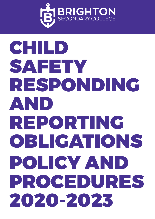

# **BRIGHTON**CHILD SAFETY RESPONDING AND REPORTING OBLIGATIONS POLICY AND PROCEDURES 2020-2023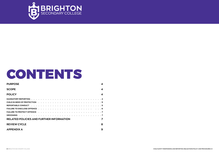

# CONTENTS

| <b>PURPOSE</b>                                  | 4                |
|-------------------------------------------------|------------------|
| <b>SCOPE</b>                                    | $\boldsymbol{4}$ |
| <b>POLICY</b>                                   | $\boldsymbol{4}$ |
|                                                 |                  |
|                                                 |                  |
|                                                 |                  |
|                                                 |                  |
|                                                 | $\cdot$ 7        |
| <b>GROOMING</b>                                 |                  |
| <b>RELATED POLICIES AND FURTHER INFORMATION</b> | 7                |
| <b>REVIEW CYCLE</b>                             | 8                |
| <b>APPENDIX A</b>                               | 9                |

CHILD SAFETY RESPONDING AND REPORTING OBLIGATIONS POLICY AND PROCEDURES | 3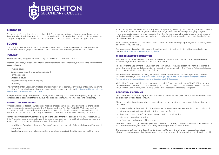

#### PURPOSE

The purpose c<br>the various leg<br>College. The sp The purpose of this policy is to ensure that all staff and members of our school community understand the various legal and other reporting obligations related to child safety that apply to Brighton Secondary College. The specific procedures that are applicable at our school are contained at Appendix A.

#### SCOPE

This policy applies to all school staff, volunteers and school community members. It also applies to all staff and students engaged in any school and school council-run events, activities and services.

### **POLICY**

All children and young people have the right to protection in their best interests.

Brighton Secondary College understands the important role our school plays in protecting children from abuse including:

- Physical abuse
- Sexual abuse (including sexual exploitation)
- Family violence
- Emotional abuse
- Neglect (including medical neglect)
- Grooming

The staff at Brighton Secondary College are required by law to comply with various child safety reporting obligations. For detailed information about each obligation, please refer to Identifying and Responding to All Forms of Abuse in Victorian Schools.

At Brighton Secondary College we also recognise the diversity of the children and young people at our school and take account of their individual needs and backgrounds when considering child safety.

#### MANDATORY REPORTING

Principals, registered teachers, registered medical practitioners, nurses and all members of the police force are mandatory reporters under the Children, Youth and Families Act 2005 (Vic). As a result of changes to mandatory reporter groups, registered psychologists will be mandatory reporters from 1 March 2019, and then from 21 January 2020, school counsellors will also be mandatory reporters.

All mandatory reporters must make a report to the Department of Health and Human Services (DHHS) Child Protection as soon as practicable if, during the course of carrying out their professional roles and responsibilities, they form a belief on reasonable grounds that:

- a child has suffered, or is likely to suffer, significant harm as a result of physical abuse and/ or sexual abuse, and
- the child's parents have not protected, or are unlikely to protect, the child from harm of that type.

A mandatory reporter who fails to comply with this legal obligation may be committing a criminal offence. It is important for all staff at Brighton Secondary College to be aware that they are legally obliged to make a mandatory report on each occasion that they form a reasonable belief that a child is in need of protection and they must make a mandatory report even if the principal does not share their belief that a report is necessary.

At our school, all mandated school staff must undertake the Mandatory Reporting and Other Obligations eLearning Module annually.

For more information about Mandatory Reporting see the Department's School Policy and Advisory Guide: Child Protection – Reporting Obligations.

#### CHILD IN NEED OF PROTECTION

Any person can make a report to DHHS Child Protection (131 278 – 24 hour service) if they believe on reasonable grounds that a child is in need of protection.

The policy of the Department of Education and Training (DET) requires all staff who form a reasonable belief that a child is in need of protection to report their concerns to DHHS or Victoria Police, and discuss their concerns with the school leadership team.

For more information about making a report to DHHS Child Protection, see the Department's School Policy and Advisory Guide: Child Protection – Making a Report and Four Critical Actions for Schools: Responding to Incidents, Disclosures and Suspicions of Child Abuse.

At Brighton Secondary College we also encourage all staff to make a referral to Child FIRST when they have significant concern for a child's wellbeing. For more information about making a referral to Child FIRST see the School Policy and Advisory Guide: Child Protection – Reporting Obligations.

#### REPORTABLE CONDUCT

Our school must notify the Department's Employee Conduct Branch (9637 2594) if we become aware of an allegation of 'reportable conduct'.

There is an allegation of reportable conduct where a person has formed a reasonable belief that there has been:

- a sexual offence (even prior to criminal proceedings commencing), sexual misconduct or physical violence committed against, with or in the presence of a child;
- behaviour causing significant emotional or physical harm to a child;
- significant neglect of a child; or
- misconduct involving any of the above.

The Department, through the Employee Conduct Branch, has a legal obligation to inform the Commission for Children and Young People when an allegation of reportable conduct is made.

Our principal must notify the Department's Employee Conduct Branch of any reportable conduct allegations involving current or former teachers, contractors, volunteers (including parents), allied health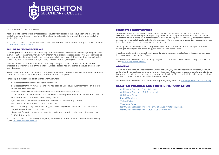

staff and school council employees.

If school staff I<br>notify the scho<br>Regional Direc If school staff become aware of reportable conduct by any person in the above positions, they should notify the school principal immediately. If the allegation relates to the principal, they should notify the Regional Director.

> For more information about Reportable Conduct see the Department's School Policy and Advisory Guide: Reportable Conduct Scheme.

#### FAILURE TO DISCLOSE OFFENCE

Reporting child sexual abuse is a community-wide responsibility. All adults (ie persons aged 18 years and over), not just professionals who work with children, have a legal obligation to report to Victoria Police, as soon as practicable, where they form a 'reasonable belief' that a sexual offence has been committed by an adult against a child under the age of 16 by another person aged 18 years or over.

Failure to disclose information to Victoria Police (by calling 000 or local police station) as soon as practicable may amount to a criminal offence unless a person has a 'reasonable excuse' or exemption from doing so.

"Reasonable belief" is not the same as having proof. A 'reasonable belief' is formed if a reasonable person in the same position would have formed the belief on the same grounds.

For example, a 'reasonable belief' might be formed when:

- a child states that they have been sexually abused
- a child states that they know someone who has been sexually abused (sometimes the child may be talking about themselves)
- someone who knows a child states that the child has been sexually abused
- professional observations of the child's behaviour or development leads a mandated professional to form a belief that the child has been sexually abused
- signs of sexual abuse leads to a belief that the child has been sexually abused.
- "Reasonable excuse" is defined by law and includes:
- fear for the safety of any person including yourself or the potential victim (but not including the alleged perpetrator or an organisation)
- where the information has already been disclosed, for example, through a mandatory report to DHHS Child Protection.

For more information about this reporting obligation, see the Department's School Policy and Advisory Guide: Failure to disclose offence.

#### FAILURE TO PROTECT OFFENCE

This reporting obligation applies to school staff in a position of authority. This can include principals, assistant principals and campus principals. Any staff member in a position of authority who becomes aware that an adult associated with their school (such as an employee, contractor, volunteer or visitor) poses a risk of sexual abuse to a child under the age of 16 under their care, authority or supervision, must take all reasonable steps to remove or reduce that risk.

This may include removing the adult (ie persons aged 18 years and over) from working with children pending an investigation and reporting your concerns to Victoria Police.

If a school staff member in a position of authority fails to take reasonable steps in these circumstances, this may amount to a criminal offence.

For more information about this reporting obligation, see the Department's School Policy and Advisory Guide: Failure to protect offence.

#### GROOMING

Grooming is a criminal offence under the Crimes Act 1958 (Vic). This offence targets predatory conduct undertaken by an adult to prepare a child, under the age of 16, to engage in sexual activity at a later time. Grooming can include communicating and/or attempting to befriend or establish a relationship or other emotional connection with the child or their parent/carer.

For more information about this offence and reporting obligations see: Child Exploitation and Grooming.

#### RELATED POLICIES AND FURTHER INFORMATION

- Child Safety Standards Code of Conduct
- Child Safety Standards Risk Assessment
- Child Safety Policy
- Duty of Care Policy
- Visitors Policy
- Volunteers Policy
- Identifying and Responding to All Forms of Abuse in Victorian Schools
- Identifying and Responding to Student Sexual Offending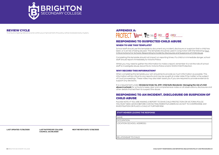



**LAST RATIFIED BY COLLEGE NEXT REVIEW DATE: 11/08/2023**

**BRIGHTS**<br>To ensure ongoi To ensure ongoing relevance and continuous improvement, this policy will be reviewed every 3 years.

**COUNCIL: 24/06/2020**

**LAST UPDATED: 11/08/2020**

#### REVIEW CYCLE

#### RESPONDING TO SUSPECTED CHILD ABUSE WHEN TO USE THIS TEMPLATE?

School staff should use this template to document any incident, disclosure or suspicion that a child has been, or is at risk of being abused. This template should be used in conjunction with the following: Four Critical Actions For Schools: Responding to Incidents, Disclosures and Suspicions of Child Abuse.

Completing this template should not impact on reporting times. If a child is in immediate danger, school staff should report immediately to Victoria Police.

It is a requirement under *Ministerial Order No. 870- Child Safe Standards- Managing the risk of child abuse in schools* for schools to keep clear and comprehensive notes on all observations, disclosures and other details that led them to suspect the abuse.

Whilst you may need to gather the information to make a report, remember it is not the role of school staff to investigate abuse, leave this to Victoria Police and/or DHHS Child Protection.

#### WHY RECORD THIS INFORMATION?

When completing this template your aim should be to provide as much information as possible. This information will be critical to any reports and may be sought at a later date if the matter is the subject of Court proceedings. These notes may also later assist you if you are required to provide evidence to support any decisions.

#### RESPONDING TO AN INCIDENT, DISCLOSURE OR SUSPICION OF CHILD ABUSE

PLEASE NOTE: IF YOU ARE MAKING A REPORT TO DHHS CHILD PROTECTION OR VICTORIA POLICE YOU MUST SEEK ADVICE BEFORE CONTACTING PARENTS/CARERS SO AS NOT TO COMPROMISE ANY INVESTIGATION OR PLACE A CHILD AT FURTHER RISK

#### **STAFF MEMBER LEADING THE RESPONSE**

NAME:

OCCUPATION:

LOCATION (SCHOOL ADDRESS):

RELATIONSHIP TO CHILD:

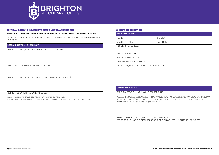

| BIRTH: |  |
|--------|--|
|        |  |
|        |  |
|        |  |
|        |  |
|        |  |
|        |  |
|        |  |
|        |  |
|        |  |
|        |  |

#### CRITICAL ACTION 1: IMMEDIATE RESPONSE TO AN INCIDENT

**Bridge See action 1 of**<br>**BBB Action 1 of**<br>Child Abuse See action 1 of Four Critical Actions For Schools: Responding to Incidents, Disclosures and Suspicions of Child Abuse.

#### **If anyone is in immediate danger school staff should report immediately to Victoria Police on 000.**

#### **RESPONDING TO AN EMERGENCY**

DID THE CHILD REQUIRE FIRST AID? PROVIDE DETAILS IF 'YES'.

WHO ADMINISTERED THIS? (NAME AND TITLE)

DID THE CHILD REQUIRE FURTHER IMMEDIATE MEDICAL ASSISTANCE?

CURRENT LOCATION AND SAFETY STATUS:

E.G. ARE ALL IMPACTED STUDENTS SAFE AND NOT IN ANY IMMEDIATE DANGER? IF A CHILD IS IN IMMEDIATE DANGER SCHOOL STAFF SHOULD REPORT IMMEDIATELY TO VICTORIA POLICE ON 000

#### CHILD'S INFORMATION

| <b>PERSONAL DETAILS</b> |                  |
|-------------------------|------------------|
| NAMF:                   | <b>GENDER:</b>   |
| YEAR LEVEL/CLASS:       | I DATE OF BIRTH: |

RESIDENTIAL ADDRESS:

PARENT/CARER NAME/S:

PARENT/CARER CONTACT:

LANGUAGE(S) SPOKEN BY CHILD:

DISABILITIES, MENTAL OR PHYSICAL HEALTH ISSUES:

#### **CHILD'S BACKGROUND**

CULTURAL STATUS AND RELIGIOUS BACKGROUND

IF THE CHILD IS OF ABORIGINAL OR TORRES STRAIT ISLANDER BACKGROUND, GOVERNMENT SCHOOLS MUST CONTACT THEIR KOORIE ENGAGEMENT SUPPORT OFFICER, AND CATHOLIC SCHOOLS MUST CONTACT THE DIOCESAN EDUCATION OFFICE TO ARRANGE CULTURALLY APPROPRIATE SUPPORT. IF THE CHILD IS AN INTERNATIONAL STUDENT YOU MUST NOTIFY THE INTERNATIONAL EDUCATION DIVISION ON (03) 9637 2990

ANY KNOWN PREVIOUS HISTORY OF SUSPECTED ABUSE (PRIOR TO THIS INCIDENT, DISCLOSURE OR SUSPICION OR INVOLVEMENT WITH AGENCIES):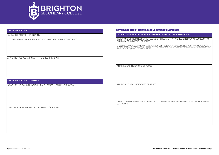

FAMILY COMP FAMILY COMPOSITION (IF KNOWN):

#### **FAMILY BACKGROUND**

LIST PARENTING OR CARE ARRANGEMENTS AND SIBLING NAMES AND AGES

ANY OTHER PEOPLE LIVING WITH THE CHILD (IF KNOWN):

#### **FAMILY BACKGROUND CONTINUED**

DISABILITY, MENTAL OR PHYSICAL HEALTH ISSUES IN FAMILY (IF KNOWN):

LIKELY REACTION TO A REPORT BEING MADE (IF KNOWN):

#### DETAILS OF THE INCIDENT, DISCLOSURE OR SUSPICION

#### **GROUNDS FOR YOUR BELIEF THAT A CHILD HAS BEEN, OR IS AT RISK OF ABUSE**

INDICATORS OR INSTANCES WHICH LED YOU TO BELIEVE THAT A CHILD/CHILDREN ARE SUBJECT TO CHILD ABUSE, OR AT RISK OF ABUSE:

*DETAIL ANY DISCLOSURES OR INCIDENTS OR SUSPICIONS (INCLUDING NAMES, TIMES AND DATES DOCUMENTING A CHILD'S EXACT WORDS AS FAR AS POSSIBLE). INCLUDE SPECIFIC DETAIL HERE ON WHAT LED YOU TO FORM A REASONABLE BELIEF THAT A CHILD HAS BEEN, OR IS AT RISK OF BEING ABUSED.* 

ANY PHYSICAL INDICATORS OF ABUSE:

ANY BEHAVIOURAL INDICATORS OF ABUSE:

ANY PATTERNS OF BEHAVIOUR OR PRIOR CONCERNS LEADING UP TO AN INCIDENT, DISCLOSURE OR SUSPICION: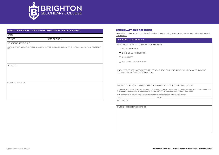

| DATE OF BIRTH:<br>RELATIONSHIP TO CHILD:<br><b>CONTACT DETAILS:</b>                                          | NAME:         |  |
|--------------------------------------------------------------------------------------------------------------|---------------|--|
| NOTHING IF THEY ARE WITHIN THE SCHOOL OR WITHIN THE FAMILY AND COMMUNITY (THIS WILL IMPACT ON WHO YOU REPORT | <b>GENDER</b> |  |
|                                                                                                              |               |  |
|                                                                                                              | TO)           |  |
|                                                                                                              | ADDRESS:      |  |
|                                                                                                              |               |  |
|                                                                                                              |               |  |

#### CRITICAL ACTION 2: REPORTING

See Action 2 of Four Critical Actions for Schools: Responding to Incidents, Disclosures and Suspicions of Child Abuse

**REPORTING TO AUTHORITIES** 

TICK THE AUTHORITIES YOU HAVE REPORTED TO:

**NUCTORIA POLICE** 

DHHS CHILD PROTECTION

 $\Box$  CHILD FIRST

**DECISION NOT TO REPORT** 

IF YOU'VE DECIDED NOT TO REPORT, LIST YOUR REASONS HERE. ALSO INCLUDE ANY FOLLOW-UP ACTIONS UNDERTAKEN BY YOU BELOW:

PROVIDE DETAILS OF YOUR INTERAL DISCUSSIONS TO EITHER OF THE FOLLOWING:

*GOVERNMENT SCHOOL STAFF MUST REPORT TO SECURITY SERVICES UNIT AND ALSO TO THE EMPLOYEE CONDUCT BRANCH IF THE INCIDENT, DISCLOSURE OR SUSPICION INVOLVES A STAFF MEMBER, CONTRACTOR OR VOLUNTEER.* 

*CATHOLIC SCHOOL STAFF MUST REPORT TO THEIR CATHOLIC DIOCESAN EDUCATION OFFICE*

DATE: TIME:

AUTHORITY:

OUTCOMES FROM THE REPORT: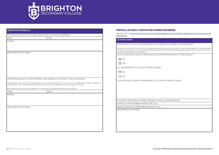

| <b>REPORTING INTERNALLY</b> |                                                                                                          | <b>CRITICAL ACTION 3: CONTACTING PARE</b>                                                                   |
|-----------------------------|----------------------------------------------------------------------------------------------------------|-------------------------------------------------------------------------------------------------------------|
|                             | PROVIDE DETAILS OF YOUR DISCUSSION WITH SCHOOL LEADERSHIP                                                | See Action 3 of Four Critical Actions For Schools:<br>Child Abuse                                           |
| TIME:                       | DATE:                                                                                                    |                                                                                                             |
| NAMES:                      |                                                                                                          | <b>ACTIONS TAKEN</b>                                                                                        |
|                             |                                                                                                          | <b>PROVIDE DETAILS OF YOUR DISCUSSION WITH P</b>                                                            |
|                             |                                                                                                          | SCHOOL STAFF MUST CONSULT WITH VICTORIA POLICE ANI<br>TO CONTACT PARENTS, IF IT IS, PARENTS MUST BE CONTACT |
| <b>DISCUSSION OUTCOMES:</b> |                                                                                                          | INCIDENT, DISCLOSURE OR SUSPICION).                                                                         |
|                             |                                                                                                          | HAVE YOU SOUGHT ADVICE FROM DHHS CHILD P                                                                    |
|                             |                                                                                                          | $\Box$ NO                                                                                                   |
|                             |                                                                                                          | $\Box$ YES                                                                                                  |
|                             |                                                                                                          | IS IT APPROPRIATE TO CONTACT PARENT/CARER                                                                   |
|                             |                                                                                                          | $\Box$ NO                                                                                                   |
|                             |                                                                                                          | $\Box$ YES                                                                                                  |
|                             | PROVIDE DETAILS OF YOUR INTERNAL DISCUSSIONS TO EITHER OF THE FOLLOWING:                                 |                                                                                                             |
|                             | GOVERNMENT SCHOOL STAFF MUST REPORT TO SECURITY SERVICES UNIT AND ALSO TO THE EMPLOYEE CONDUCT BRANCH IF | LIST REASONS IF IT IS NOT APPROPRIATE TO CON                                                                |
|                             | THE INCIDENT, DISCLOSURE OR SUSPICION INVOLVES A STAFF MEMBER, CONTRACTOR OR VOLUNTEER                   |                                                                                                             |
|                             | CATHOLIC SCHOOL STAFF MUST REPORT TO THEIR CATHOLIC DIOCESAN EDUCATION OFFICE                            |                                                                                                             |
| TIME:                       | DATE:                                                                                                    |                                                                                                             |
| <b>NAMES:</b>               |                                                                                                          |                                                                                                             |
|                             |                                                                                                          | IF CONTACTING PARENT/CARER, PROVIDE THE F                                                                   |
|                             |                                                                                                          | NAME OF STAFF MEMBER MAKING THE CALL:                                                                       |
| <b>DISCUSSION OUTCOMES:</b> |                                                                                                          | NAME OF PARENT/CARER RECEIVING THE CALL:                                                                    |
|                             |                                                                                                          | <b>DISCUSSION OUTCOMES:</b>                                                                                 |
|                             |                                                                                                          |                                                                                                             |
|                             |                                                                                                          |                                                                                                             |
|                             |                                                                                                          |                                                                                                             |
|                             |                                                                                                          |                                                                                                             |
|                             |                                                                                                          |                                                                                                             |
|                             |                                                                                                          |                                                                                                             |
|                             |                                                                                                          |                                                                                                             |

#### **ENTS/CARERS**

s: Responding to Incidents, Disclosures and Suspicions of

I PARENTS/CARERS (IF APPROPRIATE):

AND/OR DHHS CHILD PROTECTION TO DETERMINE IF IT IS APPROPRIATE ACTED AS SOON AS POSSIBLE (PREFERABLY ON THE SAME DAY OF THE

D PROTECTION OR VICTORIA POLICE?

ONTACT PARENT/CARER:

IF OLLOWING DETAILS: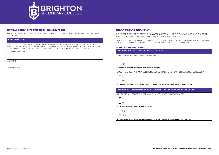

**BRIGHTON<br>
BRIGHTON<br>
BRIGHTON<br>
BRIGHTON** See Action 4 of Four Critical Actions For Schools: Responding to Incidents, Disclosures and Suspicions of Child Abuse

#### CRITICAL ACTION 4: PROVIDING ONGOING SUPPORT

#### **PLANNED ACTIONS**

INCLUDE DETAIL ON WHAT FOLLOW-UP ACTIONS HAVE OCCURRED TO SUPPORT THE STUDENT (FOR EXAMPLE, REFERRAL TO WELLBEING PROFESSIONALS AND OTHER SPECIALISED SERVICES, THE CONVENING OF A STUDENT SUPPORT GROUP AND DEVELOPMENT OF SUPPORT PLANS):

FOLLOW UP ACTIONS

SUPPORT:

REFERRALS(S):

#### PROCESS OF REVIEW

COMPLETE THIS SECTION BETWEEN 4-6 WEEKS AFTER AN INCIDENT, SUSPICION OR DISCLOSURE OF ABUSE IN CONJUNCTION WITH YOUR SCHOOL LEADERSHIP TEAM.

THIS WILL SUPPORT YOU AND YOUR SCHOOL TO CONTINUE TO PROTECT CHILDREN IN YOUR CARE AND TO REFLECT ON YOUR PROCESSES AND THE NEED FOR ANY FOLLOW- UP ACTION.

#### SAFETY AND WELLBEING

**CURRENT SAFETY AND WELLBEING OF THE CHILD** 

IS THE CHILD SAFE FROM ABUSE AND HARM?

 $\Box$  NO

 $\Box$  YES

#### *IF NOT CONSIDER THE NEED TO MAKE A FURTHER REPORT*

DOES THE CHILD HAVE ANY WELLBEING ISSUES THAT ARE NOT CURRENTLY BEING ADDRESSED?

 $\Box$  NO

**T** YES

*IF SO, CONSIDER HOW THESE CAN BE ADDRESSED AND CAPTURED WITHIN A STUDENT SUPPORT PLAN* 

**CURRENT WELLBEING OF OTHER CHILDREN WHO MAY BE IMPACTED BY THE ABUSE** 

ARE THERE ANY OTHER CHILDREN WHO MAY BE IMPACTED BY THE ABUSE?

|--|--|

 $\Box$  YES

*IF SO HAVE THEIR WELLBEING NEEDS BEEN MET*

 $\Box$  NO

 $\Box$  YES

*IF SO, CONSIDER HOW THESE CAN BE ADDRESSED AND CAPTURED WITHIN A STUDENT SUPPORT PLAN*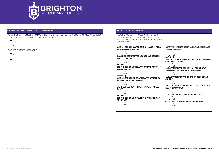

**BRIGHT WELL**<br>DOES THE ST.<br>OR RECEIVED DOES THE STAFF MEMBER WHO MADE THE REPORT/ WITNESSED THE INCIDENT, FORMED A SUSPICION OR RECEIVED A DISCLOSURE REQUIRE ANY SUPPORT?

| $\square$ NO                  |  |
|-------------------------------|--|
| $\Box$ YES                    |  |
| IF SO HAS THIS BEEN RECEIVED? |  |
| $\square$ NO                  |  |
| $\Box$ YES                    |  |

#### CURRENT WELLBEING OF IMPACTED STAFF MEMBERS

#### **REVIEW OF ACTIONS TAKEN**

| HAVE SCHOOL STAFF FOLLOWED THE FOUR<br>CRITICAL ACTIONS FOR SCHOLS: RESPONDING<br>TO INCIDENTS, DISCLOSURES OR SUSPICIONS OF<br>CHILD ABUSE? |                                                 |
|----------------------------------------------------------------------------------------------------------------------------------------------|-------------------------------------------------|
| <b>WAS AN APPROPRIATE DECISION MADE IN RELA-</b>                                                                                             | <b>HAVE THE PARENTS CONTINUED TO BE ENGAGED</b> |
| TION TO WHEN TO ACT?                                                                                                                         | <b>IF APPROPRIATE?</b>                          |
| $\Box$ NO                                                                                                                                    | $\Box$ NO                                       |
| $\Box$ YFS                                                                                                                                   | D YES                                           |
| <b>COULD THE SUSPECTED ABUSE HAVE BEEN DE-</b>                                                                                               | <b>ACTION 4</b>                                 |
| <b>TECTED EARLIER?</b>                                                                                                                       | <b>HAS THE SCHOOL PROVIDED ADEQUATE SUPPORT</b> |
| $\Box$ NO                                                                                                                                    | <b>FOR THE STUDENT?</b>                         |
| $\Box$ YFS                                                                                                                                   | $\Box$ NO                                       |
| <b>ACTION1</b>                                                                                                                               | $\Box$ YFS                                      |
| DID THE SCHOOL TAKE APPROPRIATE ACTION IN                                                                                                    | <b>HAS A STUDENT SUPPORT PLAN BEEN ESTAB-</b>   |
| <b>AN EMERGENCY?</b>                                                                                                                         | LISHED, IMPLEMENTED AND REVIEWED?               |
| $\Box$ NO                                                                                                                                    | $\Box$ NO                                       |
| <b>D</b> YES                                                                                                                                 | $\Box$ YFS                                      |
| <b>ACTION 2</b>                                                                                                                              | HAS A STUDENT SUPPORT GROUP BEEN ESTAB-         |
| WAS A REPORT MADE TO THE APPROPRIATE AU-                                                                                                     | LISHED?                                         |
| <b>THORITIES AND INTERNALLY?</b>                                                                                                             | $\Box$ NO                                       |
| $\Box$ NO                                                                                                                                    | D YES                                           |
| <b>N</b> YFS                                                                                                                                 | WAS THE STUDENT APPROPRIATELY SUPPORTED         |
| <b>WERE SUBSEQUENT REPORTS MADE IF NECES-</b>                                                                                                | <b>IN ANY INTERVIEWS?</b>                       |
| SARY?                                                                                                                                        | $\Box$ NO                                       |
| $\Box$ NO                                                                                                                                    | $\Box$ YFS                                      |
| <b>D</b> YES                                                                                                                                 | <b>HAVE ANY COMPLAINTS BEEN RECEIVED?</b>       |
| <b>ACTION 3</b>                                                                                                                              | $\Box$ NO                                       |
| DID THE SCHOOL CONTACT THE PARENTS/CAR-                                                                                                      | D YES                                           |
| <b>ERS ASAP?</b>                                                                                                                             | <b>HAVE THE COMPLAINTS BEEN RESOLVED?</b>       |
| $\Box$ NO                                                                                                                                    | $\Box$ NO                                       |
| □ YES                                                                                                                                        | □ YES                                           |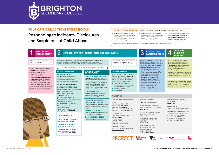



You **must** act, by following the Four Critical Actions, as soon as you witness an incident, receive a disclosure or form a reasonable belief \* that a child has, or is at risk of being abused.

## Responding to Incidents, Disclosures and Suspicions of Child Abuse

 $\blacksquare$  It is strongly recommended that you use the *Responding to Suspected Child Abuse template* to keep clear and comprehensive notes, even if you make a decision not to report.

 You **must** act if you form a suspicion/ reasonable belief, even if you are unsure and have not directly observed child abuse (e.g. if the victim or another person tells you about the abuse).

Your principal **must** consult with DHHS Child Protection or Victoria Police to determine what information can be shared with parents/carers. They may advise:

## As soon as immediate health and safety concerns are addressed you **must** report

all incidents, suspicions and disclosures of child abuse as soon as possible. Failure to report physical and sexual child abuse may amount to a criminal offence.

- **not to contact** the parents/carer (e.g. in circumstances where the parents are alleged to have engaged in the abuse, or the child is a mature minor and does not wish for their parent/carer to be contacted)
- **to contact** the parents/carers and provide agreed information (this must be done as soon as possible, preferably on the same day of the incident, disclosure or suspicion)
- **how to communicate** with all relevant parties with consideration for their safety.

Your school **must** provide support for children impacted by abuse. This should include the development of a *Student Support Plan* in consultation with wellbeing professionals. This is an essential part of your duty of care requirements.

#### If a child is at immediate risk of harm you **must** ensure their safety by:

- separating alleged victims
- and others involved
- administering first aid calling **000 for urgent medical and/**
- **or police assistance** to respond to immediate health or safety concerns  $\blacksquare$  identifying a contact person at the
- school for future liaison with Police.

#### **VICTORIA POLICE 000** or your local police station

Where necessary you may also need to maintain the integrity of the potential crime scene and preserve evidence.



## **FOUR CRITICAL ACTIONS FOR SCHOOLS**

- School principal and/or leadership team
- **Employee Conduct Branch DET** Incident Support and
- Operations Centre.
- **CATHOLIC SCHOOLS**
- School principal and/or leadership team

#### Diocesan education office.

- School principal and/or school chairperson
- Commission for Children and
- Young People on **1300 782 978**.

**GOVERNMENT SCHOOLS Employee Conduct Branch** 

Commission for Children and Young People on **1300 782 978.** Strategies may include development of a safety plan, direct support and referral to wellbeing professionals and support.

**CONTACT**

**DHHS CHILD PROTECTION**

*AREA*

at risk of being harmed (or has been harmed) and the harm has had, or is likely to have, a serious impact on the child's safety, stability or development.

> North Division **1300 664 977** South Division **1300 655 795** East Division **1300 360 391** West Division (Rural) **1800 075 599** West Division (Metro) **1300 664 977**

**GOVERNMENT SCHOOLS** School principal and/or leadership team DET Incident Support and Operations **Centre** 

*AFTER HOURS*

After hours, weekends, public holidays **13 12 78**.

**INDEPENDENT SCHOOLS School principal and/or chairperson.** 

**CHILD FIRST** https://services.dhhs.vic.gov.au/ referral-and-support-teams

If you believe that a child is not subject to abuse, but you still hold **significant concerns** for their wellbeing you **must** still act. This may include making a referral or seeking advice from: Child FIRST/The Orange Door (in circumstances where the family are open to receiving support) DHHS Child Protection **Victoria Police.** 

**ORANGE DOOR** https://www.vic.gov.au/familyviolence/ the-orange-door.html

**DET INCIDENT SUPPORT AND OPERATIONS CENTRE 1800 126 126**

**INCIDENT MANAGEMENT AND SUPPORT UNIT 1800 126 126**

**EMPLOYEE CONDUCT BRANCH (03) 9637 2595**

**DIOCESAN OFFICE** Melbourne **(03) 9267 0228** Ballarat **(03) 5337 7135** Sale **(03) 5622 6600** Sandhurst **(03) 5443 2377**





#### **INDEPENDENT SCHOOLS VICTORIA (03) 9825 7200**

#### **THE LOOKOUT**

The LOOKOUT has a service directory, information, and evidence based guidance to help you respond to family violence: http://www.lookout.org.au.

Family violence victims/survivors can be referred to **1800 Respect** for counselling, information and a referral service: **1800 737 732**.





*Q: Where does the source of suspected abuse come from?*

#### **VICTORIA POLICE**

You **must** report all instances of suspected child abuse involving a school staff member, contractor, volunteer or visitor to Victoria Police.

#### You **must also** report **internally** to:

#### **GOVERNMENT SCHOOLS**

#### **INDEPENDENT SCHOOLS**

#### **WITHIN THE FAMILY OR COMMUNITY**

**OTHER CONCERNS**

If there is no risk of immediate harm go to **Action 2**.

> You **must** follow the Four Critical Actions every time you become aware of a further instance or risk of abuse. This includes reporting new information to authorities.

#### **WITHIN THE SCHOOL**

#### As a school staff member, you play a **critical role** in protecting children in your care.

For suspected student sexual assault, please follow the Four Critical Actions: Student Sexual Offending*.*

All allegations of 'reportable conduct' **must** be reported as soon as possible to:

#### **CATHOLIC SCHOOLS**

**Diocesan education office** 

#### **INDEPENDENT SCHOOLS**

#### **YOU MUST TAKE ACTION**

*\* A reasonable belief is a deliberately low threshold. This enables authorities to investigate and take action.*

## **2 RESPONDING TO 2 REPORTING TO AUTHORITIES / REFERRING TO SERVICES** 2 **8 3 3 3 2 3 3 2 3 2 3 2 3 2 3 2 3 2 3 2 3 2 3 2 3 3 2 3 2 3 3 3 3 3 3 3 3**

# **DHHS CHILD PROTECTION**

 $\blacksquare$  in need of protection from child abuse

You **must** report to DHHS Child Protection if a child is considered to be:

#### **VICTORIA POLICE** You **must also** report all instances of

suspected sexual abuse (including grooming) to Victoria Police.

#### You **must also** report **internally** to:

**CATHOLIC SCHOOLS** School principal and/or leadership team

Diocesan education office.